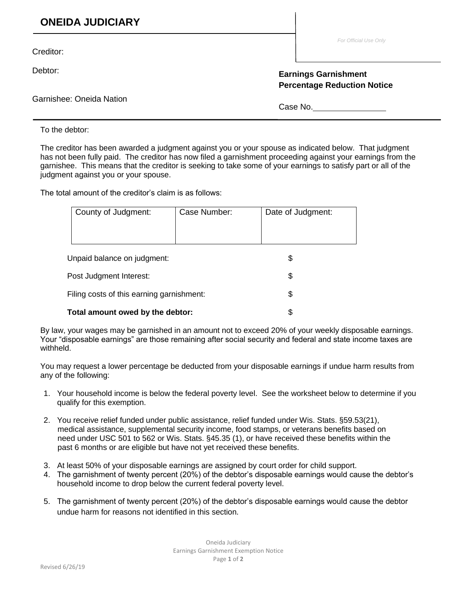## **ONEIDA JUDICIARY**

Creditor:

Debtor:

Garnishee: Oneida Nation

*For Official Use Only*

## **Earnings Garnishment Percentage Reduction Notice**

Case No.

To the debtor:

The creditor has been awarded a judgment against you or your spouse as indicated below. That judgment has not been fully paid. The creditor has now filed a garnishment proceeding against your earnings from the garnishee. This means that the creditor is seeking to take some of your earnings to satisfy part or all of the judgment against you or your spouse.

The total amount of the creditor's claim is as follows:

| County of Judgment:                       | Case Number: | Date of Judgment: |  |
|-------------------------------------------|--------------|-------------------|--|
|                                           |              |                   |  |
|                                           |              |                   |  |
|                                           |              |                   |  |
| Unpaid balance on judgment:               |              | \$                |  |
| Post Judgment Interest:                   |              | \$                |  |
| Filing costs of this earning garnishment: |              | \$                |  |
| Total amount owed by the debtor:          | \$           |                   |  |

By law, your wages may be garnished in an amount not to exceed 20% of your weekly disposable earnings. Your "disposable earnings" are those remaining after social security and federal and state income taxes are withheld.

You may request a lower percentage be deducted from your disposable earnings if undue harm results from any of the following:

- 1. Your household income is below the federal poverty level. See the worksheet below to determine if you qualify for this exemption.
- 2. You receive relief funded under public assistance, relief funded under Wis. Stats. §59.53(21), medical assistance, supplemental security income, food stamps, or veterans benefits based on need under USC 501 to 562 or Wis. Stats. §45.35 (1), or have received these benefits within the past 6 months or are eligible but have not yet received these benefits.
- 3. At least 50% of your disposable earnings are assigned by court order for child support.
- 4. The garnishment of twenty percent (20%) of the debtor's disposable earnings would cause the debtor's household income to drop below the current federal poverty level.
- 5. The garnishment of twenty percent (20%) of the debtor's disposable earnings would cause the debtor undue harm for reasons not identified in this section.